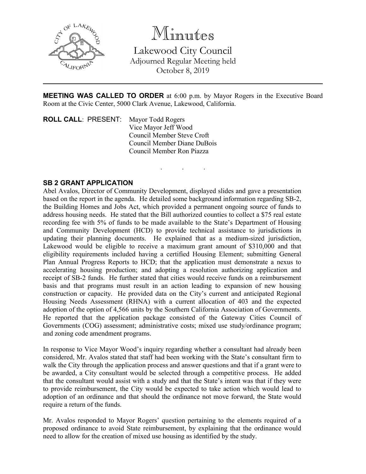

Minutes

Lakewood City Council Adjourned Regular Meeting held October 8, 2019

**MEETING WAS CALLED TO ORDER** at 6:00 p.m. by Mayor Rogers in the Executive Board Room at the Civic Center, 5000 Clark Avenue, Lakewood, California.

. . .

**ROLL CALL**: PRESENT: Mayor Todd Rogers Vice Mayor Jeff Wood Council Member Steve Croft Council Member Diane DuBois Council Member Ron Piazza

## **SB 2 GRANT APPLICATION**

Abel Avalos, Director of Community Development, displayed slides and gave a presentation based on the report in the agenda. He detailed some background information regarding SB-2, the Building Homes and Jobs Act, which provided a permanent ongoing source of funds to address housing needs. He stated that the Bill authorized counties to collect a \$75 real estate recording fee with 5% of funds to be made available to the State's Department of Housing and Community Development (HCD) to provide technical assistance to jurisdictions in updating their planning documents. He explained that as a medium-sized jurisdiction, Lakewood would be eligible to receive a maximum grant amount of \$310,000 and that eligibility requirements included having a certified Housing Element; submitting General Plan Annual Progress Reports to HCD; that the application must demonstrate a nexus to accelerating housing production; and adopting a resolution authorizing application and receipt of SB-2 funds. He further stated that cities would receive funds on a reimbursement basis and that programs must result in an action leading to expansion of new housing construction or capacity. He provided data on the City's current and anticipated Regional Housing Needs Assessment (RHNA) with a current allocation of 403 and the expected adoption of the option of 4,566 units by the Southern California Association of Governments. He reported that the application package consisted of the Gateway Cities Council of Governments (COG) assessment; administrative costs; mixed use study/ordinance program; and zoning code amendment programs.

In response to Vice Mayor Wood's inquiry regarding whether a consultant had already been considered, Mr. Avalos stated that staff had been working with the State's consultant firm to walk the City through the application process and answer questions and that if a grant were to be awarded, a City consultant would be selected through a competitive process. He added that the consultant would assist with a study and that the State's intent was that if they were to provide reimbursement, the City would be expected to take action which would lead to adoption of an ordinance and that should the ordinance not move forward, the State would require a return of the funds.

Mr. Avalos responded to Mayor Rogers' question pertaining to the elements required of a proposed ordinance to avoid State reimbursement, by explaining that the ordinance would need to allow for the creation of mixed use housing as identified by the study.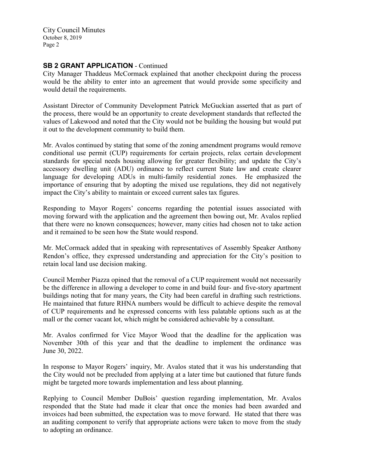## **SB 2 GRANT APPLICATION - Continued**

City Manager Thaddeus McCormack explained that another checkpoint during the process would be the ability to enter into an agreement that would provide some specificity and would detail the requirements.

Assistant Director of Community Development Patrick McGuckian asserted that as part of the process, there would be an opportunity to create development standards that reflected the values of Lakewood and noted that the City would not be building the housing but would put it out to the development community to build them.

Mr. Avalos continued by stating that some of the zoning amendment programs would remove conditional use permit (CUP) requirements for certain projects, relax certain development standards for special needs housing allowing for greater flexibility; and update the City's accessory dwelling unit (ADU) ordinance to reflect current State law and create clearer language for developing ADUs in multi-family residential zones. He emphasized the importance of ensuring that by adopting the mixed use regulations, they did not negatively impact the City's ability to maintain or exceed current sales tax figures.

Responding to Mayor Rogers' concerns regarding the potential issues associated with moving forward with the application and the agreement then bowing out, Mr. Avalos replied that there were no known consequences; however, many cities had chosen not to take action and it remained to be seen how the State would respond.

Mr. McCormack added that in speaking with representatives of Assembly Speaker Anthony Rendon's office, they expressed understanding and appreciation for the City's position to retain local land use decision making.

Council Member Piazza opined that the removal of a CUP requirement would not necessarily be the difference in allowing a developer to come in and build four- and five-story apartment buildings noting that for many years, the City had been careful in drafting such restrictions. He maintained that future RHNA numbers would be difficult to achieve despite the removal of CUP requirements and he expressed concerns with less palatable options such as at the mall or the corner vacant lot, which might be considered achievable by a consultant.

Mr. Avalos confirmed for Vice Mayor Wood that the deadline for the application was November 30th of this year and that the deadline to implement the ordinance was June 30, 2022.

In response to Mayor Rogers' inquiry, Mr. Avalos stated that it was his understanding that the City would not be precluded from applying at a later time but cautioned that future funds might be targeted more towards implementation and less about planning.

Replying to Council Member DuBois' question regarding implementation, Mr. Avalos responded that the State had made it clear that once the monies had been awarded and invoices had been submitted, the expectation was to move forward. He stated that there was an auditing component to verify that appropriate actions were taken to move from the study to adopting an ordinance.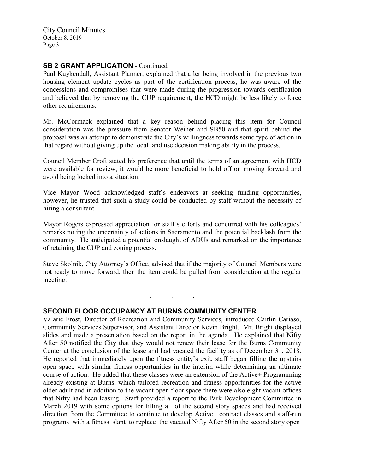### **SB 2 GRANT APPLICATION** - Continued

Paul Kuykendall, Assistant Planner, explained that after being involved in the previous two housing element update cycles as part of the certification process, he was aware of the concessions and compromises that were made during the progression towards certification and believed that by removing the CUP requirement, the HCD might be less likely to force other requirements.

Mr. McCormack explained that a key reason behind placing this item for Council consideration was the pressure from Senator Weiner and SB50 and that spirit behind the proposal was an attempt to demonstrate the City's willingness towards some type of action in that regard without giving up the local land use decision making ability in the process.

Council Member Croft stated his preference that until the terms of an agreement with HCD were available for review, it would be more beneficial to hold off on moving forward and avoid being locked into a situation.

Vice Mayor Wood acknowledged staff's endeavors at seeking funding opportunities, however, he trusted that such a study could be conducted by staff without the necessity of hiring a consultant.

Mayor Rogers expressed appreciation for staff's efforts and concurred with his colleagues' remarks noting the uncertainty of actions in Sacramento and the potential backlash from the community. He anticipated a potential onslaught of ADUs and remarked on the importance of retaining the CUP and zoning process.

Steve Skolnik, City Attorney's Office, advised that if the majority of Council Members were not ready to move forward, then the item could be pulled from consideration at the regular meeting.

. . .

### **SECOND FLOOR OCCUPANCY AT BURNS COMMUNITY CENTER**

Valarie Frost, Director of Recreation and Community Services, introduced Caitlin Cariaso, Community Services Supervisor, and Assistant Director Kevin Bright. Mr. Bright displayed slides and made a presentation based on the report in the agenda. He explained that Nifty After 50 notified the City that they would not renew their lease for the Burns Community Center at the conclusion of the lease and had vacated the facility as of December 31, 2018. He reported that immediately upon the fitness entity's exit, staff began filling the upstairs open space with similar fitness opportunities in the interim while determining an ultimate course of action. He added that these classes were an extension of the Active+ Programming already existing at Burns, which tailored recreation and fitness opportunities for the active older adult and in addition to the vacant open floor space there were also eight vacant offices that Nifty had been leasing. Staff provided a report to the Park Development Committee in March 2019 with some options for filling all of the second story spaces and had received direction from the Committee to continue to develop Active+ contract classes and staff-run programs with a fitness slant to replace the vacated Nifty After 50 in the second story open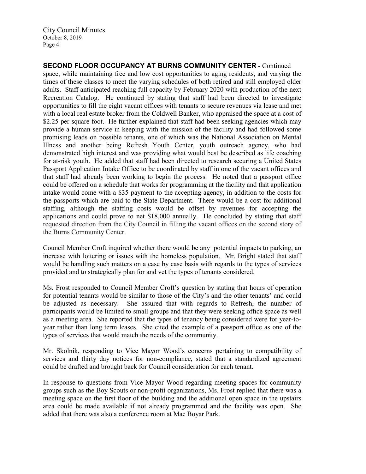**SECOND FLOOR OCCUPANCY AT BURNS COMMUNITY CENTER** - Continued space, while maintaining free and low cost opportunities to aging residents, and varying the times of these classes to meet the varying schedules of both retired and still employed older adults. Staff anticipated reaching full capacity by February 2020 with production of the next Recreation Catalog. He continued by stating that staff had been directed to investigate opportunities to fill the eight vacant offices with tenants to secure revenues via lease and met with a local real estate broker from the Coldwell Banker, who appraised the space at a cost of \$2.25 per square foot. He further explained that staff had been seeking agencies which may provide a human service in keeping with the mission of the facility and had followed some promising leads on possible tenants, one of which was the National Association on Mental Illness and another being Refresh Youth Center, youth outreach agency, who had demonstrated high interest and was providing what would best be described as life coaching for at-risk youth. He added that staff had been directed to research securing a United States Passport Application Intake Office to be coordinated by staff in one of the vacant offices and that staff had already been working to begin the process. He noted that a passport office could be offered on a schedule that works for programming at the facility and that application intake would come with a \$35 payment to the accepting agency, in addition to the costs for the passports which are paid to the State Department. There would be a cost for additional staffing, although the staffing costs would be offset by revenues for accepting the applications and could prove to net \$18,000 annually. He concluded by stating that staff requested direction from the City Council in filling the vacant offices on the second story of the Burns Community Center.

Council Member Croft inquired whether there would be any potential impacts to parking, an increase with loitering or issues with the homeless population. Mr. Bright stated that staff would be handling such matters on a case by case basis with regards to the types of services provided and to strategically plan for and vet the types of tenants considered.

Ms. Frost responded to Council Member Croft's question by stating that hours of operation for potential tenants would be similar to those of the City's and the other tenants' and could be adjusted as necessary. She assured that with regards to Refresh, the number of participants would be limited to small groups and that they were seeking office space as well as a meeting area. She reported that the types of tenancy being considered were for year-toyear rather than long term leases. She cited the example of a passport office as one of the types of services that would match the needs of the community.

Mr. Skolnik, responding to Vice Mayor Wood's concerns pertaining to compatibility of services and thirty day notices for non-compliance, stated that a standardized agreement could be drafted and brought back for Council consideration for each tenant.

In response to questions from Vice Mayor Wood regarding meeting spaces for community groups such as the Boy Scouts or non-profit organizations, Ms. Frost replied that there was a meeting space on the first floor of the building and the additional open space in the upstairs area could be made available if not already programmed and the facility was open. She added that there was also a conference room at Mae Boyar Park.